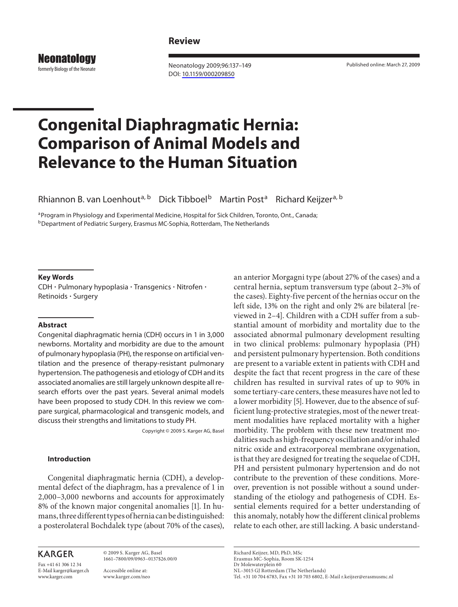## **Review**

**Neonatology** formerly Biology of the Neonate

 Neonatology 2009;96:137–149 DOI: [10.1159/000209850](http://dx.doi.org/10.1159%2F000209850)

Published online: March 27, 2009

# **Congenital Diaphragmatic Hernia: Comparison of Animal Models and Relevance to the Human Situation**

Rhiannon B. van Loenhout<sup>a, b</sup> Dick Tibboel<sup>b</sup> Martin Post<sup>a</sup> Richard Keijzer<sup>a, b</sup>

a Program in Physiology and Experimental Medicine, Hospital for Sick Children, Toronto, Ont., Canada; <sup>b</sup> Department of Pediatric Surgery, Erasmus MC-Sophia, Rotterdam, The Netherlands

#### **Key Words**

 CDH - Pulmonary hypoplasia - Transgenics - Nitrofen - Retinoids - Surgery

#### **Abstract**

 Congenital diaphragmatic hernia (CDH) occurs in 1 in 3,000 newborns. Mortality and morbidity are due to the amount of pulmonary hypoplasia (PH), the response on artificial ventilation and the presence of therapy-resistant pulmonary hypertension. The pathogenesis and etiology of CDH and its associated anomalies are still largely unknown despite all research efforts over the past years. Several animal models have been proposed to study CDH. In this review we compare surgical, pharmacological and transgenic models, and discuss their strengths and limitations to study PH.

Copyright © 2009 S. Karger AG, Basel

#### **Introduction**

 Congenital diaphragmatic hernia (CDH), a developmental defect of the diaphragm, has a prevalence of 1 in 2,000–3,000 newborns and accounts for approximately 8% of the known major congenital anomalies [1]. In humans, three different types of hernia can be distinguished: a posterolateral Bochdalek type (about 70% of the cases),

# **KARGER**

Fax +41 61 306 12 34 E-Mail karger@karger.ch www.karger.com

 © 2009 S. Karger AG, Basel 1661–7800/09/0963–0137\$26.00/0

 Accessible online at: www.karger.com/neo an anterior Morgagni type (about 27% of the cases) and a central hernia, septum transversum type (about 2–3% of the cases). Eighty-five percent of the hernias occur on the left side, 13% on the right and only 2% are bilateral [reviewed in 2-4]. Children with a CDH suffer from a substantial amount of morbidity and mortality due to the associated abnormal pulmonary development resulting in two clinical problems: pulmonary hypoplasia (PH) and persistent pulmonary hypertension. Both conditions are present to a variable extent in patients with CDH and despite the fact that recent progress in the care of these children has resulted in survival rates of up to 90% in some tertiary-care centers, these measures have not led to a lower morbidity [5]. However, due to the absence of sufficient lung-protective strategies, most of the newer treatment modalities have replaced mortality with a higher morbidity. The problem with these new treatment modalities such as high-frequency oscillation and/or inhaled nitric oxide and extracorporeal membrane oxygenation, is that they are designed for treating the sequelae of CDH, PH and persistent pulmonary hypertension and do not contribute to the prevention of these conditions. Moreover, prevention is not possible without a sound understanding of the etiology and pathogenesis of CDH. Essential elements required for a better understanding of this anomaly, notably how the different clinical problems relate to each other, are still lacking. A basic understand-

 Richard Keijzer, MD, PhD, MSc Erasmus MC-Sophia, Room SK-1254 Dr Molewaterplein 60 NL–3015 GJ Rotterdam (The Netherlands) Tel. +31 10 704 6783, Fax +31 10 703 6802, E-Mail r.keijzer@erasmusmc.nl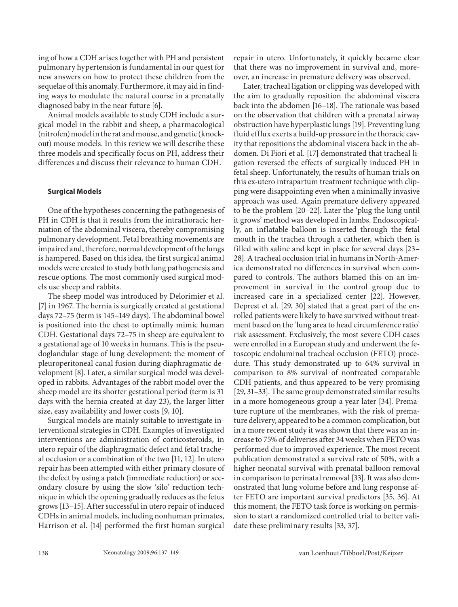ing of how a CDH arises together with PH and persistent pulmonary hypertension is fundamental in our quest for new answers on how to protect these children from the sequelae of this anomaly. Furthermore, it may aid in finding ways to modulate the natural course in a prenatally diagnosed baby in the near future [6].

 Animal models available to study CDH include a surgical model in the rabbit and sheep, a pharmacological (nitrofen) model in the rat and mouse, and genetic (knockout) mouse models. In this review we will describe these three models and specifically focus on PH, address their differences and discuss their relevance to human CDH.

### **Surgical Models**

 One of the hypotheses concerning the pathogenesis of PH in CDH is that it results from the intrathoracic herniation of the abdominal viscera, thereby compromising pulmonary development. Fetal breathing movements are impaired and, therefore, normal development of the lungs is hampered. Based on this idea, the first surgical animal models were created to study both lung pathogenesis and rescue options. The most commonly used surgical models use sheep and rabbits.

 The sheep model was introduced by Delorimier et al. [7] in 1967. The hernia is surgically created at gestational days 72–75 (term is 145–149 days). The abdominal bowel is positioned into the chest to optimally mimic human CDH. Gestational days 72–75 in sheep are equivalent to a gestational age of 10 weeks in humans. This is the pseudoglandular stage of lung development: the moment of pleuroperitoneal canal fusion during diaphragmatic development [8]. Later, a similar surgical model was developed in rabbits. Advantages of the rabbit model over the sheep model are its shorter gestational period (term is 31 days with the hernia created at day 23), the larger litter size, easy availability and lower costs [9, 10] .

 Surgical models are mainly suitable to investigate interventional strategies in CDH. Examples of investigated interventions are administration of corticosteroids, in utero repair of the diaphragmatic defect and fetal tracheal occlusion or a combination of the two [11, 12] . In utero repair has been attempted with either primary closure of the defect by using a patch (immediate reduction) or secondary closure by using the slow 'silo' reduction technique in which the opening gradually reduces as the fetus grows [13–15] . After successful in utero repair of induced CDHs in animal models, including nonhuman primates, Harrison et al. [14] performed the first human surgical

repair in utero. Unfortunately, it quickly became clear that there was no improvement in survival and, moreover, an increase in premature delivery was observed.

 Later, tracheal ligation or clipping was developed with the aim to gradually reposition the abdominal viscera back into the abdomen [16-18]. The rationale was based on the observation that children with a prenatal airway obstruction have hyperplastic lungs [19] . Preventing lung fluid efflux exerts a build-up pressure in the thoracic cavity that repositions the abdominal viscera back in the abdomen. Di Fiori et al. [17] demonstrated that tracheal ligation reversed the effects of surgically induced PH in fetal sheep. Unfortunately, the results of human trials on this ex-utero intrapartum treatment technique with clipping were disappointing even when a minimally invasive approach was used. Again premature delivery appeared to be the problem [20–22]. Later the 'plug the lung until it grows' method was developed in lambs. Endoscopically, an inflatable balloon is inserted through the fetal mouth in the trachea through a catheter, which then is filled with saline and kept in place for several days [23– 28] . A tracheal occlusion trial in humans in North-America demonstrated no differences in survival when compared to controls. The authors blamed this on an improvement in survival in the control group due to increased care in a specialized center [22]. However, Deprest et al. [29, 30] stated that a great part of the enrolled patients were likely to have survived without treatment based on the 'lung area to head circumference ratio' risk assessment. Exclusively, the most severe CDH cases were enrolled in a European study and underwent the fetoscopic endoluminal tracheal occlusion (FETO) procedure. This study demonstrated up to 64% survival in comparison to 8% survival of nontreated comparable CDH patients, and thus appeared to be very promising [29, 31–33] . The same group demonstrated similar results in a more homogeneous group a year later [34]. Premature rupture of the membranes, with the risk of premature delivery, appeared to be a common complication, but in a more recent study it was shown that there was an increase to 75% of deliveries after 34 weeks when FETO was performed due to improved experience. The most recent publication demonstrated a survival rate of 50%, with a higher neonatal survival with prenatal balloon removal in comparison to perinatal removal [33]. It was also demonstrated that lung volume before and lung response after FETO are important survival predictors [35, 36] . At this moment, the FETO task force is working on permission to start a randomized controlled trial to better validate these preliminary results [33, 37].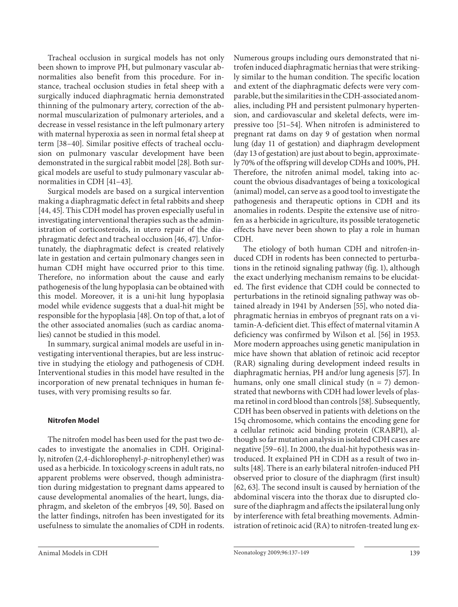Tracheal occlusion in surgical models has not only been shown to improve PH, but pulmonary vascular abnormalities also benefit from this procedure. For instance, tracheal occlusion studies in fetal sheep with a surgically induced diaphragmatic hernia demonstrated thinning of the pulmonary artery, correction of the abnormal muscularization of pulmonary arterioles, and a decrease in vessel resistance in the left pulmonary artery with maternal hyperoxia as seen in normal fetal sheep at term [38-40]. Similar positive effects of tracheal occlusion on pulmonary vascular development have been demonstrated in the surgical rabbit model [28]. Both surgical models are useful to study pulmonary vascular abnormalities in CDH [41–43] .

 Surgical models are based on a surgical intervention making a diaphragmatic defect in fetal rabbits and sheep [44, 45]. This CDH model has proven especially useful in investigating interventional therapies such as the administration of corticosteroids, in utero repair of the diaphragmatic defect and tracheal occlusion [46, 47]. Unfortunately, the diaphragmatic defect is created relatively late in gestation and certain pulmonary changes seen in human CDH might have occurred prior to this time. Therefore, no information about the cause and early pathogenesis of the lung hypoplasia can be obtained with this model. Moreover, it is a uni-hit lung hypoplasia model while evidence suggests that a dual-hit might be responsible for the hypoplasia [48] . On top of that, a lot of the other associated anomalies (such as cardiac anomalies) cannot be studied in this model.

 In summary, surgical animal models are useful in investigating interventional therapies, but are less instructive in studying the etiology and pathogenesis of CDH. Interventional studies in this model have resulted in the incorporation of new prenatal techniques in human fetuses, with very promising results so far.

#### **Nitrofen Model**

 The nitrofen model has been used for the past two decades to investigate the anomalies in CDH. Originally, nitrofen (2,4-dichlorophenyl-p-nitrophenyl ether) was used as a herbicide. In toxicology screens in adult rats, no apparent problems were observed, though administration during midgestation to pregnant dams appeared to cause developmental anomalies of the heart, lungs, diaphragm, and skeleton of the embryos [49, 50]. Based on the latter findings, nitrofen has been investigated for its usefulness to simulate the anomalies of CDH in rodents. Numerous groups including ours demonstrated that nitrofen induced diaphragmatic hernias that were strikingly similar to the human condition. The specific location and extent of the diaphragmatic defects were very comparable, but the similarities in the CDH-associated anomalies, including PH and persistent pulmonary hypertension, and cardiovascular and skeletal defects, were impressive too [51–54]. When nitrofen is administered to pregnant rat dams on day 9 of gestation when normal lung (day 11 of gestation) and diaphragm development (day 13 of gestation) are just about to begin, approximately 70% of the offspring will develop CDHs and 100%, PH. Therefore, the nitrofen animal model, taking into account the obvious disadvantages of being a toxicological (animal) model, can serve as a good tool to investigate the pathogenesis and therapeutic options in CDH and its anomalies in rodents. Despite the extensive use of nitrofen as a herbicide in agriculture, its possible teratogenetic effects have never been shown to play a role in human CDH.

 The etiology of both human CDH and nitrofen-induced CDH in rodents has been connected to perturbations in the retinoid signaling pathway (fig. 1), although the exact underlying mechanism remains to be elucidated. The first evidence that CDH could be connected to perturbations in the retinoid signaling pathway was obtained already in 1941 by Andersen [55], who noted diaphragmatic hernias in embryos of pregnant rats on a vitamin-A-deficient diet. This effect of maternal vitamin A deficiency was confirmed by Wilson et al. [56] in 1953. More modern approaches using genetic manipulation in mice have shown that ablation of retinoic acid receptor (RAR) signaling during development indeed results in diaphragmatic hernias, PH and/or lung agenesis [57]. In humans, only one small clinical study  $(n = 7)$  demonstrated that newborns with CDH had lower levels of plasma retinol in cord blood than controls [58] . Subsequently, CDH has been observed in patients with deletions on the 15q chromosome, which contains the encoding gene for a cellular retinoic acid binding protein (CRABP1), although so far mutation analysis in isolated CDH cases are negative [59-61]. In 2000, the dual-hit hypothesis was introduced. It explained PH in CDH as a result of two insults [48]. There is an early bilateral nitrofen-induced PH observed prior to closure of the diaphragm (first insult) [62, 63]. The second insult is caused by herniation of the abdominal viscera into the thorax due to disrupted closure of the diaphragm and affects the ipsilateral lung only by interference with fetal breathing movements. Administration of retinoic acid (RA) to nitrofen-treated lung ex-

Animal Models in CDH 139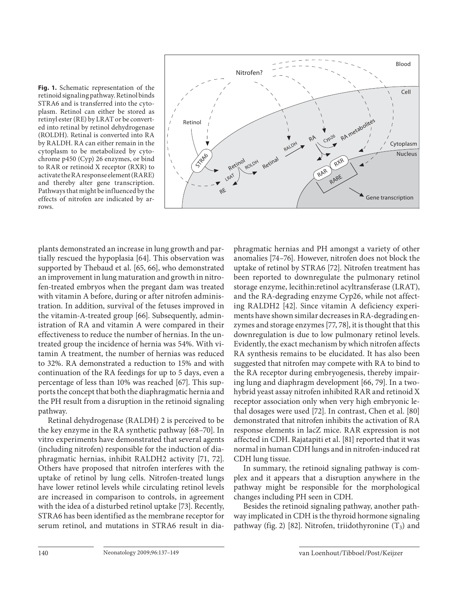**Fig. 1.** Schematic representation of the retinoid signaling pathway. Retinol binds STRA6 and is transferred into the cytoplasm. Retinol can either be stored as retinyl ester (RE) by LRAT or be converted into retinal by retinol dehydrogenase (ROLDH). Retinal is converted into RA by RALDH. RA can either remain in the cytoplasm to be metabolized by cytochrome p450 (Cyp) 26 enzymes, or bind to RAR or retinoid X receptor (RXR) to activate the RA response element (RARE) and thereby alter gene transcription. Pathways that might be influenced by the effects of nitrofen are indicated by arrows.



plants demonstrated an increase in lung growth and partially rescued the hypoplasia [64]. This observation was supported by Thebaud et al. [65, 66], who demonstrated an improvement in lung maturation and growth in nitrofen-treated embryos when the pregant dam was treated with vitamin A before, during or after nitrofen administration. In addition, survival of the fetuses improved in the vitamin-A-treated group [66]. Subsequently, administration of RA and vitamin A were compared in their effectiveness to reduce the number of hernias. In the untreated group the incidence of hernia was 54%. With vitamin A treatment, the number of hernias was reduced to 32%. RA demonstrated a reduction to 15% and with continuation of the RA feedings for up to 5 days, even a percentage of less than 10% was reached [67]. This supports the concept that both the diaphragmatic hernia and the PH result from a disruption in the retinoid signaling pathway.

 Retinal dehydrogenase (RALDH) 2 is perceived to be the key enzyme in the RA synthetic pathway [68–70]. In vitro experiments have demonstrated that several agents (including nitrofen) responsible for the induction of diaphragmatic hernias, inhibit RALDH2 activity [71, 72] . Others have proposed that nitrofen interferes with the uptake of retinol by lung cells. Nitrofen-treated lungs have lower retinol levels while circulating retinol levels are increased in comparison to controls, in agreement with the idea of a disturbed retinol uptake [73]. Recently, STRA6 has been identified as the membrane receptor for serum retinol, and mutations in STRA6 result in diaphragmatic hernias and PH amongst a variety of other anomalies [74–76]. However, nitrofen does not block the uptake of retinol by STRA6 [72] . Nitrofen treatment has been reported to downregulate the pulmonary retinol storage enzyme, lecithin:retinol acyltransferase (LRAT), and the RA-degrading enzyme Cyp26, while not affecting RALDH2 [42]. Since vitamin A deficiency experiments have shown similar decreases in RA-degrading enzymes and storage enzymes [77, 78] , it is thought that this downregulation is due to low pulmonary retinol levels. Evidently, the exact mechanism by which nitrofen affects RA synthesis remains to be elucidated. It has also been suggested that nitrofen may compete with RA to bind to the RA receptor during embryogenesis, thereby impairing lung and diaphragm development [66, 79]. In a twohybrid yeast assay nitrofen inhibited RAR and retinoid X receptor association only when very high embryonic lethal dosages were used [72]. In contrast, Chen et al. [80] demonstrated that nitrofen inhibits the activation of RA response elements in lacZ mice. RAR expression is not affected in CDH. Rajatapiti et al. [81] reported that it was normal in human CDH lungs and in nitrofen-induced rat CDH lung tissue.

 In summary, the retinoid signaling pathway is complex and it appears that a disruption anywhere in the pathway might be responsible for the morphological changes including PH seen in CDH.

 Besides the retinoid signaling pathway, another pathway implicated in CDH is the thyroid hormone signaling pathway (fig. 2) [82]. Nitrofen, triidothyronine  $(T_3)$  and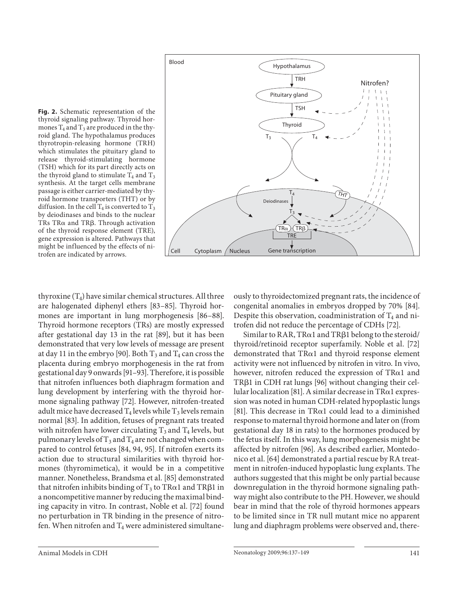

**Fig. 2.** Schematic representation of the thyroid signaling pathway. Thyroid hormones  $T_4$  and  $T_3$  are produced in the thyroid gland. The hypothalamus produces thyrotropin-releasing hormone (TRH) which stimulates the pituitary gland to release thyroid-stimulating hormone (TSH) which for its part directly acts on the thyroid gland to stimulate  $T_4$  and  $T_3$ synthesis. At the target cells membrane passage is either carrier-mediated by thyroid hormone transporters (THT) or by diffusion. In the cell  $T_4$  is converted to  $T_3$ by deiodinases and binds to the nuclear TRs TRa and TRB. Through activation of the thyroid response element (TRE), gene expression is altered. Pathways that might be influenced by the effects of nitrofen are indicated by arrows.

thyroxine  $(T_4)$  have similar chemical structures. All three are halogenated diphenyl ethers [83-85]. Thyroid hormones are important in lung morphogenesis [86-88]. Thyroid hormone receptors (TRs) are mostly expressed after gestational day 13 in the rat [89], but it has been demonstrated that very low levels of message are present at day 11 in the embryo [90]. Both  $T_3$  and  $T_4$  can cross the placenta during embryo morphogenesis in the rat from gestational day 9 onwards [91–93] . Therefore, it is possible that nitrofen influences both diaphragm formation and lung development by interfering with the thyroid hormone signaling pathway [72]. However, nitrofen-treated adult mice have decreased  $T_4$  levels while  $T_3$  levels remain normal [83]. In addition, fetuses of pregnant rats treated with nitrofen have lower circulating  $T_3$  and  $T_4$  levels, but pulmonary levels of  $T_3$  and  $T_4$  are not changed when compared to control fetuses [84, 94, 95]. If nitrofen exerts its action due to structural similarities with thyroid hormones (thyromimetica), it would be in a competitive manner. Nonetheless, Brandsma et al. [85] demonstrated that nitrofen inhibits binding of  $T_3$  to TR $\alpha$ 1 and TR $\beta$ 1 in a noncompetitive manner by reducing the maximal binding capacity in vitro. In contrast, Noble et al. [72] found no perturbation in TR binding in the presence of nitrofen. When nitrofen and  $T_4$  were administered simultaneously to thyroidectomized pregnant rats, the incidence of congenital anomalies in embryos dropped by 70% [84] . Despite this observation, coadministration of  $T_4$  and nitrofen did not reduce the percentage of CDHs [72] .

Similar to RAR, TR $\alpha$ 1 and TR $\beta$ 1 belong to the steroid/ thyroid/retinoid receptor superfamily. Noble et al. [72] demonstrated that  $TR\alpha1$  and thyroid response element activity were not influenced by nitrofen in vitro. In vivo, however, nitrofen reduced the expression of  $TR\alpha1$  and TR $\beta$ 1 in CDH rat lungs [96] without changing their cellular localization [81]. A similar decrease in  $\text{TR}\alpha 1$  expression was noted in human CDH-related hypoplastic lungs [81]. This decrease in TR $\alpha$ 1 could lead to a diminished response to maternal thyroid hormone and later on (from gestational day 18 in rats) to the hormones produced by the fetus itself. In this way, lung morphogenesis might be affected by nitrofen [96]. As described earlier, Montedonico et al. [64] demonstrated a partial rescue by RA treatment in nitrofen-induced hypoplastic lung explants. The authors suggested that this might be only partial because downregulation in the thyroid hormone signaling pathway might also contribute to the PH. However, we should bear in mind that the role of thyroid hormones appears to be limited since in TR null mutant mice no apparent lung and diaphragm problems were observed and, there-

Animal Models in CDH 141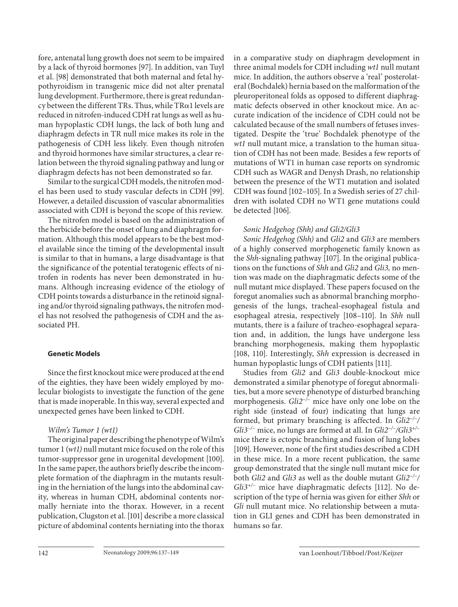fore, antenatal lung growth does not seem to be impaired by a lack of thyroid hormones [97]. In addition, van Tuyl et al. [98] demonstrated that both maternal and fetal hypothyroidism in transgenic mice did not alter prenatal lung development. Furthermore, there is great redundancy between the different TRs. Thus, while  $\text{TR}\alpha 1$  levels are reduced in nitrofen-induced CDH rat lungs as well as human hypoplastic CDH lungs, the lack of both lung and diaphragm defects in TR null mice makes its role in the pathogenesis of CDH less likely. Even though nitrofen and thyroid hormones have similar structures, a clear relation between the thyroid signaling pathway and lung or diaphragm defects has not been demonstrated so far.

 Similar to the surgical CDH models, the nitrofen model has been used to study vascular defects in CDH [99]. However, a detailed discussion of vascular abnormalities associated with CDH is beyond the scope of this review.

 The nitrofen model is based on the administration of the herbicide before the onset of lung and diaphragm formation. Although this model appears to be the best model available since the timing of the developmental insult is similar to that in humans, a large disadvantage is that the significance of the potential teratogenic effects of nitrofen in rodents has never been demonstrated in humans. Although increasing evidence of the etiology of CDH points towards a disturbance in the retinoid signaling and/or thyroid signaling pathways, the nitrofen model has not resolved the pathogenesis of CDH and the associated PH.

#### **Genetic Models**

 Since the first knockout mice were produced at the end of the eighties, they have been widely employed by molecular biologists to investigate the function of the gene that is made inoperable. In this way, several expected and unexpected genes have been linked to CDH.

## *Wilm's Tumor 1 (wt1)*

 The original paper describing the phenotype of Wilm's tumor 1 (*wt1*) null mutant mice focused on the role of this tumor-suppressor gene in urogenital development [100] . In the same paper, the authors briefly describe the incomplete formation of the diaphragm in the mutants resulting in the herniation of the lungs into the abdominal cavity, whereas in human CDH, abdominal contents normally herniate into the thorax. However, in a recent publication, Clugston et al. [101] describe a more classical picture of abdominal contents herniating into the thorax in a comparative study on diaphragm development in three animal models for CDH including *wt1* null mutant mice. In addition, the authors observe a 'real' posterolateral (Bochdalek) hernia based on the malformation of the pleuroperitoneal folds as opposed to different diaphragmatic defects observed in other knockout mice. An accurate indication of the incidence of CDH could not be calculated because of the small numbers of fetuses investigated. Despite the 'true' Bochdalek phenotype of the *wt1* null mutant mice, a translation to the human situation of CDH has not been made. Besides a few reports of mutations of WT1 in human case reports on syndromic CDH such as WAGR and Denysh Drash, no relationship between the presence of the WT1 mutation and isolated CDH was found [102–105] . In a Swedish series of 27 children with isolated CDH no WT1 gene mutations could be detected [106].

# *Sonic Hedgehog (Shh) and Gli2/Gli3*

*Sonic Hedgehog (Shh)* and *Gli2* and *Gli3* are members of a highly conserved morphogenetic family known as the *Shh*-signaling pathway [107]. In the original publications on the functions of *Shh* and *Gli2* and *Gli3,* no mention was made on the diaphragmatic defects some of the null mutant mice displayed. These papers focused on the foregut anomalies such as abnormal branching morphogenesis of the lungs, tracheal-esophageal fistula and esophageal atresia, respectively [108-110]. In *Shh* null mutants, there is a failure of tracheo-esophageal separation and, in addition, the lungs have undergone less branching morphogenesis, making them hypoplastic [108, 110]. Interestingly, *Shh* expression is decreased in human hypoplastic lungs of CDH patients [111] .

 Studies from *Gli2* and *Gli3* double-knockout mice demonstrated a similar phenotype of foregut abnormalities, but a more severe phenotype of disturbed branching morphogenesis. *Gli2–/–* mice have only one lobe on the right side (instead of four) indicating that lungs are formed, but primary branching is affected. In *Gli2–/–/ Gli3–/–* mice, no lungs are formed at all. In *Gli2–/–/Gli3+/–* mice there is ectopic branching and fusion of lung lobes [109]. However, none of the first studies described a CDH in these mice. In a more recent publication, the same group demonstrated that the single null mutant mice for both *Gli2* and *Gli3* as well as the double mutant *Gli2–/–/ Gli3<sup>+/-</sup>* mice have diaphragmatic defects [112]. No description of the type of hernia was given for either *Shh* or *Gli* null mutant mice. No relationship between a mutation in GLI genes and CDH has been demonstrated in humans so far.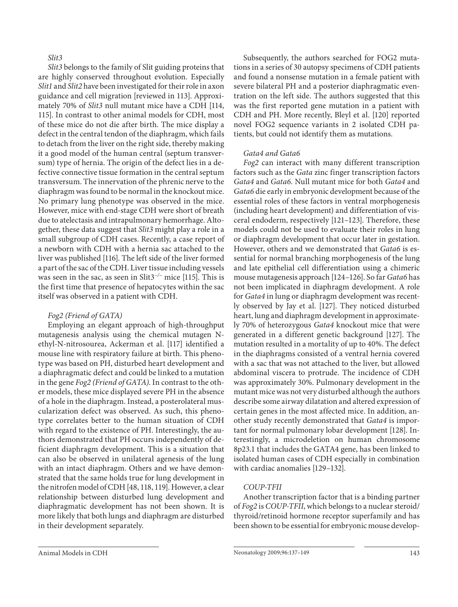## *Slit3*

*Slit3* belongs to the family of Slit guiding proteins that are highly conserved throughout evolution. Especially *Slit1* and *Slit2* have been investigated for their role in axon guidance and cell migration [reviewed in 113]. Approximately 70% of *Slit3* null mutant mice have a CDH [114, 115]. In contrast to other animal models for CDH, most of these mice do not die after birth. The mice display a defect in the central tendon of the diaphragm, which fails to detach from the liver on the right side, thereby making it a good model of the human central (septum transversum) type of hernia. The origin of the defect lies in a defective connective tissue formation in the central septum transversum. The innervation of the phrenic nerve to the diaphragm was found to be normal in the knockout mice. No primary lung phenotype was observed in the mice. However, mice with end-stage CDH were short of breath due to atelectasis and intrapulmonary hemorrhage. Altogether, these data suggest that *Slit3* might play a role in a small subgroup of CDH cases. Recently, a case report of a newborn with CDH with a hernia sac attached to the liver was published [116] . The left side of the liver formed a part of the sac of the CDH. Liver tissue including vessels was seen in the sac, as seen in Slit3<sup>-/–</sup> mice [115]. This is the first time that presence of hepatocytes within the sac itself was observed in a patient with CDH.

## *Fog2 (Friend of GATA)*

 Employing an elegant approach of high-throughput mutagenesis analysis using the chemical mutagen Nethyl-N-nitrosourea, Ackerman et al. [117] identified a mouse line with respiratory failure at birth. This phenotype was based on PH, disturbed heart development and a diaphragmatic defect and could be linked to a mutation in the gene *Fog2 (Friend of GATA)* . In contrast to the other models, these mice displayed severe PH in the absence of a hole in the diaphragm. Instead, a posterolateral muscularization defect was observed. As such, this phenotype correlates better to the human situation of CDH with regard to the existence of PH. Interestingly, the authors demonstrated that PH occurs independently of deficient diaphragm development. This is a situation that can also be observed in unilateral agenesis of the lung with an intact diaphragm. Others and we have demonstrated that the same holds true for lung development in the nitrofen model of CDH [48, 118, 119] . However, a clear relationship between disturbed lung development and diaphragmatic development has not been shown. It is more likely that both lungs and diaphragm are disturbed in their development separately.

 Subsequently, the authors searched for FOG2 mutations in a series of 30 autopsy specimens of CDH patients and found a nonsense mutation in a female patient with severe bilateral PH and a posterior diaphragmatic eventration on the left side. The authors suggested that this was the first reported gene mutation in a patient with CDH and PH. More recently, Bleyl et al. [120] reported novel FOG2 sequence variants in 2 isolated CDH patients, but could not identify them as mutations.

## *Gata4 and Gata6*

*Fog2* can interact with many different transcription factors such as the *Gata* zinc finger transcription factors *Gata4* and *Gata6* . Null mutant mice for both *Gata4* and *Gata6* die early in embryonic development because of the essential roles of these factors in ventral morphogenesis (including heart development) and differentiation of visceral endoderm, respectively [121–123] . Therefore, these models could not be used to evaluate their roles in lung or diaphragm development that occur later in gestation. However, others and we demonstrated that *Gata6* is essential for normal branching morphogenesis of the lung and late epithelial cell differentiation using a chimeric mouse mutagenesis approach [124–126] . So far *Gata6* has not been implicated in diaphragm development. A role for *Gata4* in lung or diaphragm development was recently observed by Jay et al. [127]. They noticed disturbed heart, lung and diaphragm development in approximately 70% of heterozygous *Gata4* knockout mice that were generated in a different genetic background [127]. The mutation resulted in a mortality of up to 40%. The defect in the diaphragms consisted of a ventral hernia covered with a sac that was not attached to the liver, but allowed abdominal viscera to protrude. The incidence of CDH was approximately 30%. Pulmonary development in the mutant mice was not very disturbed although the authors describe some airway dilatation and altered expression of certain genes in the most affected mice. In addition, another study recently demonstrated that *Gata4* is important for normal pulmonary lobar development [128] . Interestingly, a microdeletion on human chromosome 8p23.1 that includes the GATA4 gene, has been linked to isolated human cases of CDH especially in combination with cardiac anomalies [129-132].

# *COUP-TFII*

 Another transcription factor that is a binding partner of *Fog2* is *COUP-TFII* , which belongs to a nuclear steroid/ thyroid/retinoid hormone receptor superfamily and has been shown to be essential for embryonic mouse develop-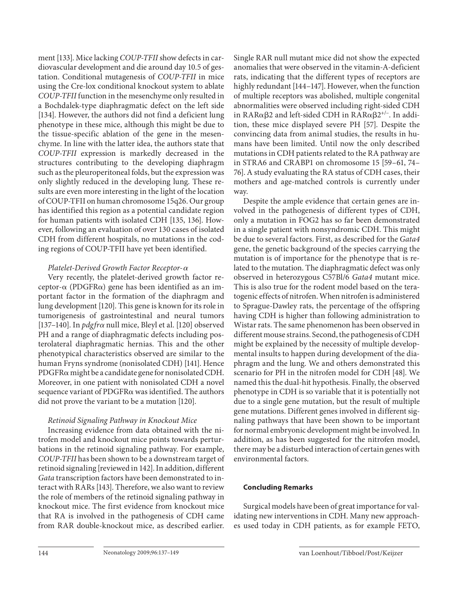ment [133] . Mice lacking *COUP-TFII* show defects in cardiovascular development and die around day 10.5 of gestation. Conditional mutagenesis of *COUP-TFII* in mice using the Cre-lox conditional knockout system to ablate *COUP-TFII* function in the mesenchyme only resulted in a Bochdalek-type diaphragmatic defect on the left side [134]. However, the authors did not find a deficient lung phenotype in these mice, although this might be due to the tissue-specific ablation of the gene in the mesenchyme. In line with the latter idea, the authors state that *COUP-TFII* expression is markedly decreased in the structures contributing to the developing diaphragm such as the pleuroperitoneal folds, but the expression was only slightly reduced in the developing lung. These results are even more interesting in the light of the location of COUP-TFII on human chromosome 15q26. Our group has identified this region as a potential candidate region for human patients with isolated CDH [135, 136]. However, following an evaluation of over 130 cases of isolated CDH from different hospitals, no mutations in the coding regions of COUP-TFII have yet been identified.

### *Platelet-Derived Growth Factor Receptor-* $\alpha$

 Very recently, the platelet-derived growth factor re $ceptor-\alpha$  (PDGFR $\alpha$ ) gene has been identified as an important factor in the formation of the diaphragm and lung development [120]. This gene is known for its role in tumorigenesis of gastrointestinal and neural tumors [137-140]. In *pdgfra* null mice, Bleyl et al. [120] observed PH and a range of diaphragmatic defects including posterolateral diaphragmatic hernias. This and the other phenotypical characteristics observed are similar to the human Fryns syndrome (nonisolated CDH) [141]. Hence  $PDGFR\alpha$  might be a candidate gene for nonisolated CDH. Moreover, in one patient with nonisolated CDH a novel sequence variant of PDGFR $\alpha$  was identified. The authors did not prove the variant to be a mutation [120] .

## *Retinoid Signaling Pathway in Knockout Mice*

 Increasing evidence from data obtained with the nitrofen model and knockout mice points towards perturbations in the retinoid signaling pathway. For example, *COUP-TFII* has been shown to be a downstream target of retinoid signaling [reviewed in 142]. In addition, different *Gata* transcription factors have been demonstrated to interact with RARs [143]. Therefore, we also want to review the role of members of the retinoid signaling pathway in knockout mice. The first evidence from knockout mice that RA is involved in the pathogenesis of CDH came from RAR double-knockout mice, as described earlier. Single RAR null mutant mice did not show the expected anomalies that were observed in the vitamin-A-deficient rats, indicating that the different types of receptors are highly redundant [144–147]. However, when the function of multiple receptors was abolished, multiple congenital abnormalities were observed including right-sided CDH in RAR $\alpha\beta$ 2 and left-sided CDH in RAR $\alpha\beta$ 2<sup>+/-</sup>. In addition, these mice displayed severe PH [57]. Despite the convincing data from animal studies, the results in humans have been limited. Until now the only described mutations in CDH patients related to the RA pathway are in STRA6 and CRABP1 on chromosome 15 [59–61, 74– 76] . A study evaluating the RA status of CDH cases, their mothers and age-matched controls is currently under way.

 Despite the ample evidence that certain genes are involved in the pathogenesis of different types of CDH, only a mutation in FOG2 has so far been demonstrated in a single patient with nonsyndromic CDH. This might be due to several factors. First, as described for the *Gata4* gene, the genetic background of the species carrying the mutation is of importance for the phenotype that is related to the mutation. The diaphragmatic defect was only observed in heterozygous C57Bl/6 *Gata4* mutant mice. This is also true for the rodent model based on the teratogenic effects of nitrofen. When nitrofen is administered to Sprague-Dawley rats, the percentage of the offspring having CDH is higher than following administration to Wistar rats. The same phenomenon has been observed in different mouse strains. Second, the pathogenesis of CDH might be explained by the necessity of multiple developmental insults to happen during development of the diaphragm and the lung. We and others demonstrated this scenario for PH in the nitrofen model for CDH [48]. We named this the dual-hit hypothesis. Finally, the observed phenotype in CDH is so variable that it is potentially not due to a single gene mutation, but the result of multiple gene mutations. Different genes involved in different signaling pathways that have been shown to be important for normal embryonic development might be involved. In addition, as has been suggested for the nitrofen model, there may be a disturbed interaction of certain genes with environmental factors.

#### **Concluding Remarks**

 Surgical models have been of great importance for validating new interventions in CDH. Many new approaches used today in CDH patients, as for example FETO,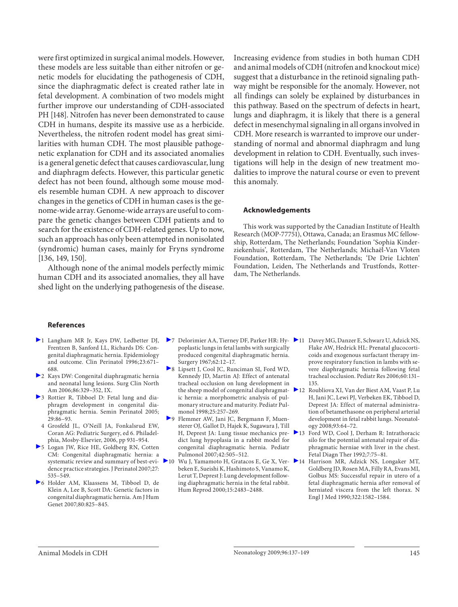were first optimized in surgical animal models. However, these models are less suitable than either nitrofen or genetic models for elucidating the pathogenesis of CDH, since the diaphragmatic defect is created rather late in fetal development. A combination of two models might further improve our understanding of CDH-associated PH [148]. Nitrofen has never been demonstrated to cause CDH in humans, despite its massive use as a herbicide. Nevertheless, the nitrofen rodent model has great similarities with human CDH. The most plausible pathogenetic explanation for CDH and its associated anomalies is a general genetic defect that causes cardiovascular, lung and diaphragm defects. However, this particular genetic defect has not been found, although some mouse models resemble human CDH. A new approach to discover changes in the genetics of CDH in human cases is the genome-wide array. Genome-wide arrays are useful to compare the genetic changes between CDH patients and to search for the existence of CDH-related genes. Up to now, such an approach has only been attempted in nonisolated (syndromic) human cases, mainly for Fryns syndrome  $[136, 149, 150]$ .

 Although none of the animal models perfectly mimic human CDH and its associated anomalies, they all have shed light on the underlying pathogenesis of the disease.

Increasing evidence from studies in both human CDH and animal models of CDH (nitrofen and knockout mice) suggest that a disturbance in the retinoid signaling pathway might be responsible for the anomaly. However, not all findings can solely be explained by disturbances in this pathway. Based on the spectrum of defects in heart, lungs and diaphragm, it is likely that there is a general defect in mesenchymal signaling in all organs involved in CDH. More research is warranted to improve our understanding of normal and abnormal diaphragm and lung development in relation to CDH. Eventually, such investigations will help in the design of new treatment modalities to improve the natural course or even to prevent this anomaly.

#### **Acknowledgements**

 This work was supported by the Canadian Institute of Health Research (MOP-77751), Ottawa, Canada; an Erasmus MC fellowship, Rotterdam, The Netherlands; Foundation 'Sophia Kinderziekenhuis', Rotterdam, The Netherlands; Michaël-Van Vloten Foundation, Rotterdam, The Netherlands; 'De Drie Lichten' Foundation, Leiden, The Netherlands and Trustfonds, Rotterdam, The Netherlands.

#### **References**

- 1 Langham MR Jr, Kays DW, Ledbetter DJ, Frentzen B, Sanford LL, Richards DS: Congenital diaphragmatic hernia. Epidemiology and outcome. Clin Perinatol 1996;23:671– 688.
- 2 Kays DW: Congenital diaphragmatic hernia and neonatal lung lesions. Surg Clin North Am 2006;86:329–352, IX.
- 3 Rottier R, Tibboel D: Fetal lung and diaphragm development in congenital diaphragmatic hernia. Semin Perinatol 2005; 29:86–93.
- 4 Grosfeld JL, O'Neill JA, Fonkalsrud EW, Coran AG: Pediatric Surgery, ed 6. Philadelphia, Mosby-Elsevier, 2006, pp 931–954.
- 5 Logan JW, Rice HE, Goldberg RN, Cotten CM: Congenital diaphragmatic hernia: a systematic review and summary of best-evidence practice strategies. J Perinatol 2007;27: 535–549.
- 6 Holder AM, Klaassens M, Tibboel D, de Klein A, Lee B, Scott DA: Genetic factors in congenital diaphragmatic hernia. Am J Hum Genet 2007;80:825–845.
- 7 Delorimier AA, Tierney DF, Parker HR: Hy- 11 Davey MG, Danzer E, Schwarz U, Adzick NS, poplastic lungs in fetal lambs with surgically produced congenital diaphragmatic hernia. Surgery 1967;62:12–17.
- 8 Lipsett J, Cool JC, Runciman SI, Ford WD, Kennedy JD, Martin AJ: Effect of antenatal tracheal occlusion on lung development in ic hernia: a morphometric analysis of pulmonary structure and maturity. Pediatr Pulmonol 1998;25:257–269.
- 9 Flemmer AW, Jani JC, Bergmann F, Muensterer OJ, Gallot D, Hajek K, Sugawara J, Till dict lung hypoplasia in a rabbit model for congenital diaphragmatic hernia. Pediatr Pulmonol 2007;42:505–512.
- Wu J, Yamamoto H, Gratacos E, Ge X, Ver- $\blacktriangleright$  14 beken E, Sueishi K, Hashimoto S, Vanamo K, Lerut T, Deprest J: Lung development following diaphragmatic hernia in the fetal rabbit. Hum Reprod 2000;15:2483–2488.
- Flake AW, Hedrick HL: Prenatal glucocorticoids and exogenous surfactant therapy improve respiratory function in lambs with severe diaphragmatic hernia following fetal tracheal occlusion. Pediatr Res 2006;60:131– 135.
- the sheep model of congenital diaphragmat- 12 Roubliova XI, Van der Biest AM, Vaast P, Lu H, Jani JC, Lewi PJ, Verbeken EK, Tibboel D, Deprest JA: Effect of maternal administration of betamethasone on peripheral arterial development in fetal rabbit lungs. Neonatology 2008;93:64–72.
- H, Deprest JA: Lung tissue mechanics pre- 13 Ford WD, Cool J, Derham R: Intrathoracic silo for the potential antenatal repair of diaphragmatic herniae with liver in the chest. Fetal Diagn Ther 1992;7:75–81.
	- 14 Harrison MR, Adzick NS, Longaker MT, Goldberg JD, Rosen MA, Filly RA, Evans MI, Golbus MS: Successful repair in utero of a fetal diaphragmatic hernia after removal of herniated viscera from the left thorax. N Engl J Med 1990;322:1582–1584.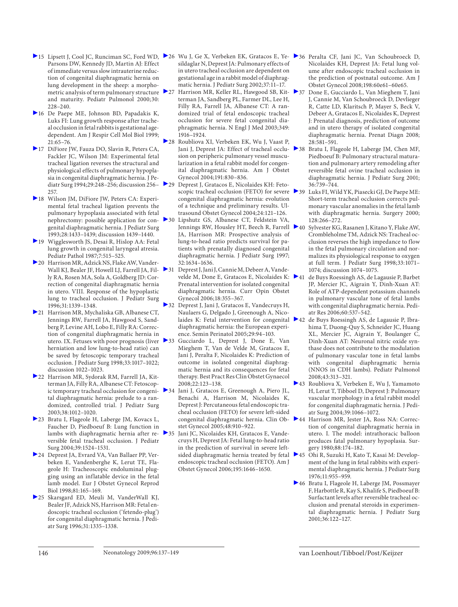- Parsons DW, Kennedy JD, Martin AJ: Effect of immediate versus slow intrauterine reduction of congenital diaphragmatic hernia on lung development in the sheep: a morphometric analysis of term pulmonary structure 27 and maturity. Pediatr Pulmonol 2000;30: 228–240
- 16 De Paepe ME, Johnson BD, Papadakis K, Luks FI: Lung growth response after tracheal occlusion in fetal rabbits is gestational agedependent. Am J Respir Cell Mol Biol 1999; 21:65–76.
- 17 DiFiore JW, Fauza DO, Slavin R, Peters CA, Fackler JC, Wilson JM: Experimental fetal tracheal ligation reverses the structural and physiological effects of pulmonary hypoplasia in congenital diaphragmatic hernia. J Pediatr Surg 1994;29:248–256; discussion 256– 257.
- 18 Wilson JM, DiFiore JW, Peters CA: Experimental fetal tracheal ligation prevents the pulmonary hypoplasia associated with fetal nephrectomy: possible application for congenital diaphragmatic hernia. J Pediatr Surg 1993;28:1433–1439; discussion 1439–1440.
- 19 Wigglesworth JS, Desai R, Hislop AA: Fetal lung growth in congenital laryngeal atresia. Pediatr Pathol 1987;7:515–525.
- 20 Harrison MR, Adzick NS, Flake AW, Vander-Wall KJ, Bealer JF, Howell LJ, Farrell JA, Fil- $\triangleright$ 31 ly RA, Rosen MA, Sola A, Goldberg JD: Correction of congenital diaphragmatic hernia in utero. VIII. Response of the hypoplastic lung to tracheal occlusion. J Pediatr Surg 1996;31:1339–1348.
- 21 Harrison MR, Mychaliska GB, Albanese CT, Jennings RW, Farrell JA, Hawgood S, Sandberg P, Levine AH, Lobo E, Filly RA: Correction of congenital diaphragmatic hernia in utero. IX. Fetuses with poor prognosis (liver > 33 herniation and low lung-to-head ratio) can be saved by fetoscopic temporary tracheal occlusion. J Pediatr Surg 1998;33:1017–1022; discussion 1022–1023.
- 22 Harrison MR, Sydorak RM, Farrell JA, Kitterman JA, Filly RA, Albanese CT: Fetoscopic temporary tracheal occlusion for congeni- $\geq 34$ tal diaphragmatic hernia: prelude to a randomized, controlled trial. J Pediatr Surg 2003;38:1012–1020.
- 23 Bratu I, Flageole H, Laberge JM, Kovacs L, Faucher D, Piedboeuf B: Lung function in lambs with diaphragmatic hernia after re-  $\ge$  35 versible fetal tracheal occlusion. J Pediatr Surg 2004;39:1524–1531.
- 24 Deprest JA, Evrard VA, Van Ballaer PP, Verbeken E, Vandenberghe K, Lerut TE, Flageole H: Tracheoscopic endoluminal plugging using an inflatable device in the fetal lamb model. Eur J Obstet Gynecol Reprod Biol 1998;81:165–169.
- 25 Skarsgard ED, Meuli M, VanderWall KJ, Bealer JF, Adzick NS, Harrison MR: Fetal endoscopic tracheal occlusion ('fetendo-plug') for congenital diaphragmatic hernia. J Pediatr Surg 1996;31:1335–1338.
- 15 Lipsett J, Cool JC, Runciman SC, Ford WD, 26 Wu J, Ge X, Verbeken EK, Gratacos E, Ye- 26 Peralta CF, Jani JC, Van Schoubroeck D, sildaglar N, Deprest JA: Pulmonary effects of in utero tracheal occlusion are dependent on gestational age in a rabbit model of diaphragmatic hernia. J Pediatr Surg 2002;37:11–17.
	- 27 Harrison MR, Keller RL, Hawgood SB, Kit- 37 Done E, Gucciardo L, Van Mieghem T, Jani terman JA, Sandberg PL, Farmer DL, Lee H, Filly RA, Farrell JA, Albanese CT: A randomized trial of fetal endoscopic tracheal occlusion for severe fetal congenital diaphragmatic hernia. N Engl J Med 2003;349: 1916–1924.
	- 28 Roubliova XI, Verbeken EK, Wu J, Vaast P, Jani J, Deprest JA: Effect of tracheal occlu- 238 sion on peripheric pulmonary vessel muscularization in a fetal rabbit model for congenital diaphragmatic hernia. Am J Obstet Gynecol 2004;191:830–836.
	- 29 Deprest J, Gratacos E, Nicolaides KH: Fetoscopic tracheal occlusion (FETO) for severe congenital diaphragmatic hernia: evolution of a technique and preliminary results. Ultrasound Obstet Gynecol 2004;24:121–126.
		- Lipshutz GS, Albanese CT, Feldstein VA, Jennings RW, Housley HT, Beech R, Farrell ▶40 JA, Harrison MR: Prospective analysis of lung-to-head ratio predicts survival for patients with prenatally diagnosed congenital diaphragmatic hernia. J Pediatr Surg 1997; 32:1634–1636.
		- Deprest J, Jani J, Cannie M, Debeer A, Vandevelde M, Done E, Gratacos E, Nicolaides K:  $\geq 41$ Prenatal intervention for isolated congenital diaphragmatic hernia. Curr Opin Obstet Gynecol 2006;18:355–367.
	- 32 Deprest J, Jani J, Gratacos E, Vandecruys H, Naulaers G, Delgado J, Greenough A, Nicodiaphragmatic hernia: the European experience. Semin Perinatol 2005;29:94–103.
	- 33 Gucciardo L, Deprest J, Done E, Van Mieghem T, Van de Velde M, Gratacos E, Jani J, Peralta F, Nicolaides K: Prediction of outcome in isolated congenital diaphragmatic hernia and its consequences for fetal therapy. Best Pract Res Clin Obstet Gynaecol 2008;22:123–138.
	- Jani J, Gratacos E, Greenough A, Piero JL, Benachi A, Harrison M, Nicolaides K, Deprest J: Percutaneous fetal endoscopic tracheal occlusion (FETO) for severe left-sided congenital diaphragmatic hernia. Clin Obstet Gynecol 2005;48:910–922.
	- Jani JC, Nicolaides KH, Gratacos E, Vandecruys H, Deprest JA: Fetal lung-to-head ratio in the prediction of survival in severe leftsided diaphragmatic hernia treated by fetal endoscopic tracheal occlusion (FETO). Am J Obstet Gynecol 2006;195:1646–1650.
- Nicolaides KH, Deprest JA: Fetal lung volume after endoscopic tracheal occlusion in the prediction of postnatal outcome. Am J Obstet Gynecol 2008;198:60e61–60e65.
- J, Cannie M, Van Schoubroeck D, Devlieger R, Catte LD, Klaritsch P, Mayer S, Beck V, Debeer A, Gratacos E, Nicolaides K, Deprest J: Prenatal diagnosis, prediction of outcome and in utero therapy of isolated congenital diaphragmatic hernia. Prenat Diagn 2008;  $28:581-591.$
- Bratu I, Flageole H, Laberge JM, Chen MF, Piedboeuf B: Pulmonary structural maturation and pulmonary artery remodeling after reversible fetal ovine tracheal occlusion in diaphragmatic hernia. J Pediatr Surg 2001; 36:739–744.
- 39 Luks FI, Wild YK, Piasecki GJ, De Paepe ME: Short-term tracheal occlusion corrects pulmonary vascular anomalies in the fetal lamb with diaphragmatic hernia. Surgery 2000; 128:266–272.
- 40 Sylvester KG, Rasanen J, Kitano Y, Flake AW, Crombleholme TM, Adzick NS: Tracheal occlusion reverses the high impedance to flow in the fetal pulmonary circulation and normalizes its physiological response to oxygen at full term. J Pediatr Surg 1998;33:1071– 1074; discussion 1074–1075.
- 41 de Buys Roessingh AS, de Lagausie P, Barbet JP, Mercier JC, Aigrain Y, Dinh-Xuan AT: Role of ATP-dependent potassium channels in pulmonary vascular tone of fetal lambs with congenital diaphragmatic hernia. Pediatr Res 2006;60:537–542.
- laides K: Fetal intervention for congenital 42 de Buys Roessingh AS, de Lagausie P, Ibrahima T, Duong-Quy S, Schneider JC, Huang XL, Mercier JC, Aigrain Y, Boulanger C, Dinh-Xuan AT: Neuronal nitric oxide synthase does not contribute to the modulation of pulmonary vascular tone in fetal lambs with congenital diaphragmatic hernia (NNOS in CDH lambs). Pediatr Pulmonol 2008;43:313–321.
	- 43 Roubliova X, Verbeken E, Wu J, Yamamoto H, Lerut T, Tibboel D, Deprest J: Pulmonary vascular morphology in a fetal rabbit model for congenital diaphragmatic hernia. J Pediatr Surg 2004;39:1066–1072.
	- 44 Harrison MR, Jester JA, Ross NA: Correction of congenital diaphragmatic hernia in utero. I. The model: intrathoracic balloon produces fatal pulmonary hypoplasia. Surgery 1980;88:174–182.
	- 45 Ohi R, Suzuki H, Kato T, Kasai M: Development of the lung in fetal rabbits with experimental diaphragmatic hernia. J Pediatr Surg 1976;11:955–959.
	- 46 Bratu I, Flageole H, Laberge JM, Possmayer F, Harbottle R, Kay S, Khalife S, Piedboeuf B: Surfactant levels after reversible tracheal occlusion and prenatal steroids in experimental diaphragmatic hernia. J Pediatr Surg 2001;36:122–127.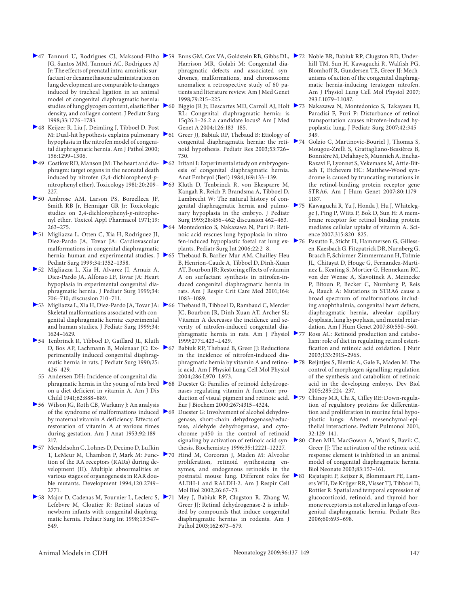- 47 Tannuri U, Rodrigues CJ, Maksoud-Filho 59 Enns GM, Cox VA, Goldstein RB, Gibbs DL, 72 Noble BR, Babiuk RP, Clugston RD, Under-JG, Santos MM, Tannuri AC, Rodrigues AJ Jr: The effects of prenatal intra-amniotic surfactant or dexamethasone administration on lung development are comparable to changes induced by tracheal ligation in an animal model of congenital diaphragmatic hernia: density, and collagen content. J Pediatr Surg 1998;33:1776–1783.
- 48 Keijzer R, Liu J, Deimling J, Tibboel D, Post hypoplasia in the nitrofen model of congenital diaphragmatic hernia. Am J Pathol 2000; 156:1299–1306.
- 49 Costlow RD, Manson JM: The heart and dia- 62 Iritani I: Experimental study on embryogenphragm: target organs in the neonatal death induced by nitrofen (2,4-dichlorophenyl-pnitrophenyl ether). Toxicology 1981;20:209- $\triangleright$ 63 227.
- 50 Ambrose AM, Larson PS, Borzelleca JF, Smith RB Jr, Hennigar GR Jr: Toxicologic studies on 2,4-dichlorophenyl-p-nitrophenyl ether. Toxicol Appl Pharmacol 1971;19: 263–275.
- 51 Migliazza L, Otten C, Xia H, Rodriguez JI, Diez-Pardo JA, Tovar JA: Cardiovascular malformations in congenital diaphragmatic hernia: human and experimental studies. J > 65 Pediatr Surg 1999;34:1352–1358.
- 52 Migliazza L, Xia H, Alvarez JI, Arnaiz A, Diez-Pardo JA, Alfonso LF, Tovar JA: Heart hypoplasia in experimental congenital diaphragmatic hernia. J Pediatr Surg 1999;34: 706–710; discussion 710–711.
- 53 Migliazza L, Xia H, Diez-Pardo JA, Tovar JA: Skeletal malformations associated with congenital diaphragmatic hernia: experimental and human studies. J Pediatr Surg 1999;34: 1624–1629.
- 54 Tenbrinck R, Tibboel D, Gaillard JL, Kluth D, Bos AP, Lachmann B, Molenaar JC: Experimentally induced congenital diaphragmatic hernia in rats. J Pediatr Surg 1990;25: 426–429.
- 55 Andersen DH: Incidence of congenital diaon a diet deficient in vitamin A. Am J Dis Child 1941;62:888–889.
- 56 Wilson JG, Roth CB, Warkany J: An analysis of the syndrome of malformations induced  $\triangleright$  69 by maternal vitamin A deficiency. Effects of restoration of vitamin A at various times during gestation. Am J Anat 1953;92:189– 217.
- 57 Mendelsohn C, Lohnes D, Decimo D, Lufkin T, LeMeur M, Chambon P, Mark M: Function of the RA receptors (RARs) during development (II). Multiple abnormalities at various stages of organogenesis in RAR double mutants. Development 1994;120:2749– 2771.
- Lefebvre M, Cloutier R: Retinol status of newborn infants with congenital diaphragmatic hernia. Pediatr Surg Int 1998;13:547– 549.
- Harrison MR, Golabi M: Congenital diaphragmatic defects and associated syndromes, malformations, and chromosome anomalies: a retrospective study of 60 patients and literature review. Am J Med Genet 1998;79:215–225.
- studies of lung glycogen content, elastic fiber ▶60 Biggio JR Jr, Descartes MD, Carroll AJ, Holt ▶73 Nakazawa N, Montedonico S, Takayasu H, RL: Congenital diaphragmatic hernia: is 15q26.1–26.2 a candidate locus? Am J Med Genet A 2004;126:183–185.
- M: Dual-hit hypothesis explains pulmonary 61 Greer JJ, Babiuk RP, Thebaud B: Etiology of noid hypothesis. Pediatr Res 2003;53:726– 730.
	- esis of congenital diaphragmatic hernia. Anat Embryol (Berl) 1984;169:133–139.
	- 63 Kluth D, Tenbrinck R, von Ekesparre M, Kangah R, Reich P, Brandsma A, Tibboel D, Lambrecht W: The natural history of connary hypoplasia in the embryo. J Pediatr Surg 1993;28:456–462; discussion 462–463.
	- 64 Montedonico S, Nakazawa N, Puri P: Retinoic acid rescues lung hypoplasia in nitrofen-induced hypoplastic foetal rat lung explants. Pediatr Surg Int 2006;22:2–8.
	- 65 Thebaud B, Barlier-Mur AM, Chailley-Heu B, Henrion-Caude A, Tibboel D, Dinh-Xuan AT, Bourbon JR: Restoring effects of vitamin A on surfactant synthesis in nitrofen-induced congenital diaphragmatic hernia in rats. Am J Respir Crit Care Med 2001;164: 1083–1089.
	- Thebaud B, Tibboel D, Rambaud C, Mercier JC, Bourbon JR, Dinh-Xuan AT, Archer SL: Vitamin A decreases the incidence and severity of nitrofen-induced congenital diaphragmatic hernia in rats. Am J Physiol 1999;277:L423–L429.
	- 67 Babiuk RP, Thebaud B, Greer JJ: Reductions in the incidence of nitrofen-induced diaphragmatic hernia by vitamin A and retinoic acid. Am J Physiol Lung Cell Mol Physiol 2004;286:L970–L973.
- phragmatic hernia in the young of rats bred 68 Duester G: Families of retinoid dehydrogenases regulating vitamin A function: production of visual pigment and retinoic acid. >79 Eur J Biochem 2000;267:4315–4324.
	- Duester G: Involvement of alcohol dehydrogenase, short-chain dehydrogenase/reductase, aldehyde dehydrogenase, and cytochrome p450 in the control of retinoid thesis. Biochemistry 1996;35:12221–12227.
	- 70 Hind M, Corcoran J, Maden M: Alveolar proliferation, retinoid synthesizing enzymes, and endogenous retinoids in the postnatal mouse lung. Different roles for ALDH-1 and RALDH-2. Am J Respir Cell Mol Biol 2002;26:67–73.
- 58 Major D, Cadenas M, Fournier L, Leclerc S, 71 Mey J, Babiuk RP, Clugston R, Zhang W, Greer JJ: Retinal dehydrogenase-2 is inhibited by compounds that induce congenital diaphragmatic hernias in rodents. Am J Pathol 2003;162:673–679.
- hill TM, Sun H, Kawaguchi R, Walfish PG, Blomhoff R, Gundersen TE, Greer JJ: Mechanisms of action of the congenital diaphragmatic hernia-inducing teratogen nitrofen. Am J Physiol Lung Cell Mol Physiol 2007; 293:L1079–L1087.
- Paradisi F, Puri P: Disturbance of retinol transportation causes nitrofen-induced hypoplastic lung. J Pediatr Surg 2007;42:345– 349.
- congenital diaphragmatic hernia: the reti- 74 Golzio C, Martinovic-Bouriel J, Thomas S, Mougou-Zrelli S, Grattagliano-Bessières B, Bonnière M, Delahaye S, Munnich A, Encha-Razavi F, Lyonnet S, Vekemans M, Attie-Bitach T, Etchevers HC: Matthew-Wood syndrome is caused by truncating mutations in the retinol-binding protein receptor gene STRA6. Am J Hum Genet 2007;80:1179– 1187.
- genital diaphragmatic hernia and pulmo- 75 Kawaguchi R, Yu J, Honda J, Hu J, Whitelegge J, Ping P, Wiita P, Bok D, Sun H: A membrane receptor for retinol binding protein mediates cellular uptake of vitamin A. Science 2007;315:820–825.
	- Pasutto F, Sticht H, Hammersen G, Gillessen-Kaesbach G, Fitzpatrick DR, Nurnberg G, Brasch F, Schirmer-Zimmermann H, Tolmie JL, Chitayat D, Houge G, Fernandez-Martinez L, Keating S, Mortier G, Hennekam RC, von der Wense A, Slavotinek A, Meinecke P, Bitoun P, Becker C, Nurnberg P, Reis A, Rauch A: Mutations in STRA6 cause a broad spectrum of malformations including anophthalmia, congenital heart defects, diaphragmatic hernia, alveolar capillary dysplasia, lung hypoplasia, and mental retardation. Am J Hum Genet 2007;80:550–560.
	- Ross AC: Retinoid production and catabolism: role of diet in regulating retinol esterification and retinoic acid oxidation. J Nutr 2003;133:291S–296S.
	- 78 Reijntjes S, Blentic A, Gale E, Maden M: The control of morphogen signalling: regulation of the synthesis and catabolism of retinoic acid in the developing embryo. Dev Biol 2005;285:224–237.
		- 79 Chinoy MR, Chi X, Cilley RE: Down-regulation of regulatory proteins for differentiation and proliferation in murine fetal hypoplastic lungs: Altered mesenchymal-epithelial interactions. Pediatr Pulmonol 2001; 32:129–141.
- signaling by activation of retinoic acid syn- 80 Chen MH, MacGowan A, Ward S, Bavik C, Greer JJ: The activation of the retinoic acid response element is inhibited in an animal model of congenital diaphragmatic hernia. Biol Neonate 2003;83:157–161.
	- 81 Rajatapiti P, Keijzer R, Blommaart PE, Lamers WH, De Krijger RR, Visser TJ, Tibboel D, Rottier R: Spatial and temporal expression of glucocorticoid, retinoid, and thyroid hormone receptors is not altered in lungs of congenital diaphragmatic hernia. Pediatr Res 2006;60:693–698.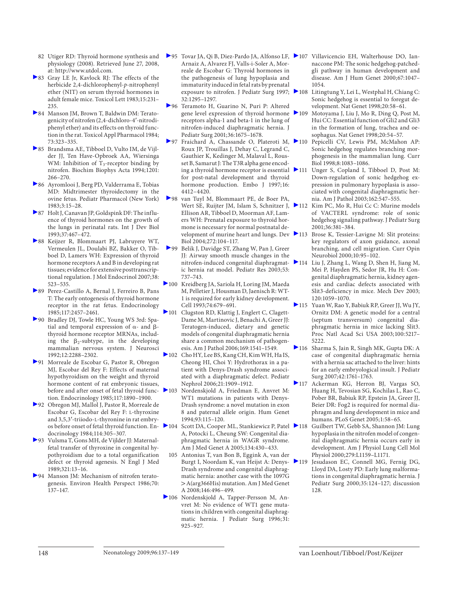- 82 Utiger RD: Thyroid hormone synthesis and physiology (2008). Retrieved June 27, 2008, at: http://www.utdol.com.
- 83 Gray LE Jr, Kavlock RJ: The effects of the herbicide 2,4-dichlorophenyl-p-nitrophenyl ether (NIT) on serum thyroid hormones in adult female mice. Toxicol Lett 1983;15:231– 235.
- 84 Manson JM, Brown T, Baldwin DM: Teratogenicity of nitrofen (2,4-dichloro-4'-nitrodiphenyl ether) and its effects on thyroid function in the rat. Toxicol Appl Pharmacol 1984; 73:323–335.
- 85 Brandsma AE, Tibboel D, Vulto IM, de Vijlder JJ, Ten Have-Opbroek AA, Wiersinga WM: Inhibition of  $T_3$ -receptor binding by nitrofen. Biochim Biophys Acta 1994;1201: 266–270.
- 86 Ayromlooi J, Berg PD, Valderrama E, Tobias MD: Midtrimester thyroidectomy in the ovine fetus. Pediatr Pharmacol (New York) 1983;3:15–28.
- 87 Holt J, Canavan JP, Goldspink DF: The influence of thyroid hormones on the growth of the lungs in perinatal rats. Int J Dev Biol 1993;37:467–472.
- 88 Keijzer R, Blommaart PJ, Labruyere WT, Vermeulen JL, Doulabi BZ, Bakker O, Tibboel D, Lamers WH: Expression of thyroid hormone receptors A and B in developing rat tissues; evidence for extensive posttranscriptional regulation. J Mol Endocrinol 2007;38: 523–535.
- 89 Perez-Castillo A, Bernal J, Ferreiro B, Pans T: The early ontogenesis of thyroid hormone receptor in the rat fetus. Endocrinology 1985;117:2457–2461.
- 90 Bradley DJ, Towle HC, Young WS 3rd: Spatial and temporal expression of  $\alpha$ - and  $\beta$ thyroid hormone receptor MRNAs, including the  $\beta_2$ -subtype, in the developing mammalian nervous system. J Neurosci 1992;12:2288–2302.
- 91 Morreale de Escobar G, Pastor R, Obregon MJ, Escobar del Rey F: Effects of maternal hypothyroidism on the weight and thyroid hormone content of rat embryonic tissues, before and after onset of fetal thyroid func-  $\geq 103$ tion. Endocrinology 1985;117:1890–1900.
- 92 Obregon MJ, Mallol J, Pastor R, Morreale de Escobar G, Escobar del Rey F: L -thyroxine and 3,5,3'-triiodo-L-thyronine in rat embryos before onset of fetal thyroid function. Endocrinology 1984;114:305–307.
- 93 Vulsma T, Gons MH, de Vijlder JJ: Maternalfetal transfer of thyroxine in congenital hypothyroidism due to a total organification defect or thyroid agenesis. N Engl J Med 1989;321:13–16.
- 94 Manson JM: Mechanism of nitrofen teratogenesis. Environ Health Perspect 1986;70: 137–147.
- 95 Tovar JA, Qi B, Diez-Pardo JA, Alfonso LF, 107 Villavicencio EH, Walterhouse DO, Ian-Arnaiz A, Alvarez FJ, Valls-i-Soler A, Morreale de Escobar G: Thyroid hormones in the pathogenesis of lung hypoplasia and immaturity induced in fetal rats by prenatal exposure to nitrofen. J Pediatr Surg 1997; 32:1295–1297.
- 96 Teramoto H, Guarino N, Puri P: Altered gene level expression of thyroid hormone receptors alpha-1 and beta-1 in the lung of nitrofen-induced diaphragmatic hernia. J Pediatr Surg 2001;36:1675–1678.
- Fraichard A, Chassande O, Plateroti M,  $\blacktriangleright$  110 Roux JP, Trouillas J, Dehay C, Legrand C, Gauthier K, Kedinger M, Malaval L, Rousset B, Samarut J: The T3R alpha gene encoding a thyroid hormone receptor is essential 2111 for post-natal development and thyroid hormone production. Embo J 1997;16: 4412–4420.
- 98 van Tuyl M, Blommaart PE, de Boer PA, Ellison AR, Tibboel D, Moorman AF, Lamers WH: Prenatal exposure to thyroid hormone is necessary for normal postnatal development of murine heart and lungs. Dev 113 Biol 2004;272:104–117.
- 99 Belik J, Davidge ST, Zhang W, Pan J, Greer JJ: Airway smooth muscle changes in the nitrofen-induced congenital diaphragmatic hernia rat model. Pediatr Res 2003;53: 737–743.
- 100 Kreidberg JA, Sariola H, Loring JM, Maeda M, Pelletier J, Housman D, Jaenisch R: WT-1 is required for early kidney development. Cell 1993;74:679–691.
- 101 Clugston RD, Klattig J, Englert C, Clagett-Dame M, Martinovic J, Benachi A, Greer JJ: Teratogen-induced, dietary and genetic models of congenital diaphragmatic hernia share a common mechanism of pathogenesis. Am J Pathol 2006;169:1541–1549.
- 102 Cho HY, Lee BS, Kang CH, Kim WH, Ha IS, Cheong HI, Choi Y: Hydrothorax in a patient with Denys-Drash syndrome associated with a diaphragmatic defect. Pediatr Nephrol 2006;21:1909–1912.
- Nordenskjold A, Friedman E, Anvret M: WT1 mutations in patients with Denys-Drash syndrome: a novel mutation in exon 8 and paternal allele origin. Hum Genet 1994;93:115–120.
- 104 Scott DA, Cooper ML, Stankiewicz P, Patel 118 Guilbert TW, Gebb SA, Shannon JM: Lung A, Potocki L, Cheung SW: Congenital diaphragmatic hernia in WAGR syndrome. Am J Med Genet A 2005;134:430–433.
- 105 Antonius T, van Bon B, Eggink A, van der Burgt I, Noordam K, van Heijst A: Denys- 2119 Drash syndrome and congenital diaphragmatic hernia: another case with the 1097G > A(arg366His) mutation. Am J Med Genet A 2008;146:496–499.
- 106 Nordenskjold A, Tapper-Persson M, Anvret M: No evidence of WT1 gene mutations in children with congenital diaphragmatic hernia. J Pediatr Surg 1996; 31: 925–927.
- naccone PM: The sonic hedgehog-patchedgli pathway in human development and disease. Am J Hum Genet 2000;67:1047– 1054.
- Litingtung Y, Lei L, Westphal H, Chiang C: Sonic hedgehog is essential to foregut development. Nat Genet 1998;20:58–61.
- Motoyama J, Liu J, Mo R, Ding Q, Post M, Hui CC: Essential function of Gli2 and Gli3 in the formation of lung, trachea and oesophagus. Nat Genet 1998;20:54–57.
- Pepicelli CV, Lewis PM, McMahon AP: Sonic hedgehog regulates branching morphogenesis in the mammalian lung. Curr Biol 1998;8:1083–1086.
- Unger S, Copland I, Tibboel D, Post M: Down-regulation of sonic hedgehog expression in pulmonary hypoplasia is associated with congenital diaphragmatic hernia. Am J Pathol 2003;162:547–555.
- Wert SE, Ruijter JM, Islam S, Schnitzer J, 112 Kim PC, Mo R, Hui Cc C: Murine models of VACTERL syndrome: role of sonic hedgehog signaling pathway. J Pediatr Surg 2001;36:381–384.
	- Brose K, Tessier-Lavigne M: Slit proteins: key regulators of axon guidance, axonal branching, and cell migration. Curr Opin Neurobiol 2000;10:95–102.
	- Liu J, Zhang L, Wang D, Shen H, Jiang M, Mei P, Hayden PS, Sedor JR, Hu H: Congenital diaphragmatic hernia, kidney agenesis and cardiac defects associated with Slit3-deficiency in mice. Mech Dev 2003; 120:1059–1070.
	- 115 Yuan W, Rao Y, Babiuk RP, Greer JJ, Wu JY, Ornitz DM: A genetic model for a central (septum transversum) congenital diaphragmatic hernia in mice lacking Slit3. Proc Natl Acad Sci USA 2003;100:5217– 5222
	- 116 Sharma S, Jain R, Singh MK, Gupta DK: A case of congenital diaphragmatic hernia with a hernia sac attached to the liver: hints for an early embryological insult. J Pediatr Surg 2007;42:1761–1763.
	- 117 Ackerman KG, Herron BJ, Vargas SO, Huang H, Tevosian SG, Kochilas L, Rao C, Pober BR, Babiuk RP, Epstein JA, Greer JJ, Beier DR: Fog2 is required for normal diaphragm and lung development in mice and humans. PLoS Genet 2005;1:58–65.
		- hypoplasia in the nitrofen model of congenital diaphragmatic hernia occurs early in development. Am J Physiol Lung Cell Mol Physiol 2000;279:L1159–L1171.
		- Jesudason EC, Connell MG, Fernig DG, Lloyd DA, Losty PD: Early lung malformations in congenital diaphragmatic hernia. J Pediatr Surg 2000;35:124–127; discussion 128.